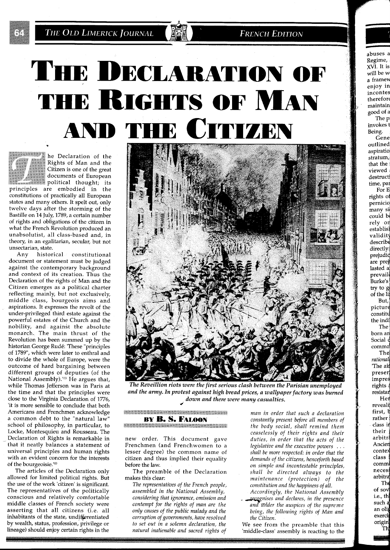THE OLD LIMERICK JOURNAL

**FRENCH EDITION** 

# THE DECLARATION OF Regime, **THE RIGHTS OF MAN IN EXPERIMINAL PROPERTY AND THE CITIZEN**



 $i$ he Declaration of the *Rights of Man and the Citizen* is one of the great documents of European  $\quad$  political thought; its principles are embodied in the

constitutions of practically all European states and many others. It spelt out, only twelve days after the storming of the Bastille on 14 July, 1789, a certain number of rights and obligations of the citizen in what the French Revolution produced an unabsolutist, all class-based and, in theory, in an egalitarian, secular, but not unsectarian, state.

Any historical constitutional document or statement must be judged against the contemporary background and context of its creation. Thus the Declaration of the rights of Man and the Citizen emerges as a political charter reflecting mainly, but not exclusively, middle class, bourgeois aims and aspirations. It expresses the revolt of the under-privileged third estate against the powerful estates of the Church and the nobility, and against the absolute monarch. The main thrust of the Revolution has been summed up by the historian George Rude: 'These "principles of 1789", which were later to enthral and to divide the whole of Europe, were the outcome of hard bargaining between different groups of deputies (of the National Assembly).<sup>'(1)</sup> He argues that, while Thomas Jefferson was in Paris at the time and that the principles were close to the Virginia Declaration of 1776, 'it is more sensible to conclude that both Americans and Frenchmen acknowledge a common debt to the "natural law" school of philosophy, in particular, to Locke, Montesquieu and Rousseau. The Declaration of Rights is remarkable in that it neatly balances a statement of universal principles and human rights with an evident concern for the interests of the bourgeoisie."<sup>(2)</sup>

The articles of the Declaration only allowed for limited political rights. But the use of the work 'citizen' is significant. The representatives of the politically conscious and relatively comfortable middle classes of French society were asserting that all citizens (i.e. all inhabitants of the state, undiferentiated by wealth, status, profession, privilege or lineage) should enjoy certain rights in the



The Reveillion riots were the first serious clash between the Parisian unemployed and the army. In protest against high bread prices, a wallpaper factory was burned *down and there were many casualties.* **4'** 

### <u> Martin Timer (1955), martin a</u> **BY B. S. FALOON**

new order. This document gave Frenchmen (and Frenchwomen to a lesser degree) the common name of citizen and thus implied their equality before the law.

The preamble of the Declaration makes this clear:

*The representatives of the French people, assembled in the National Assembly, considering that ignorance, omission and contempt for the rights of man are the only causes of the public malady and the corruption of governments, have resolved to set out in a solemn declaration, the natural inalienable and sacred rights of* 

*man in order that such a declaration constantly present before all members of the body social, shall remind them ceaselessly of their rights and their duties, in order that the acts of the legislative and the executive powers* . . . *shall be more respected: in order that the demands of the citizens, henceforth based on simple and incontestable principles, shall be directed always to the maintenance (protection) of the constitution and the happiness of all.* 

*Accordingly, the National Assembly \*nises and declares, in the presence and grider the auspices of the supreme being, the following rights of Man and the Citizen.* 

We see from the preamble that this 'middle-class' assembly is reacting to the



will be w a framew enjoy in therefore good of a **S,**  The p]

invokes t Being. Gene

> outlined aspiratio) stratum, that the viewed destructi time, par

For E rights of pernicio many si could bi rely 04 establisl: validitj describe directly:<br>prejudié are prej lasted a prevail Burke's try to g of the li But,

picturd constitu the indi The born an Social o commo

The *rational/*  'The ail preseri impres<br>rights resistar Het

reveali first,  $\mathfrak k$ rather *<sup>l</sup>* class in their arbitr Ancier contex class comm neces arbitra

> The of sov i.e.,  $th$ such a an oli exerci origin